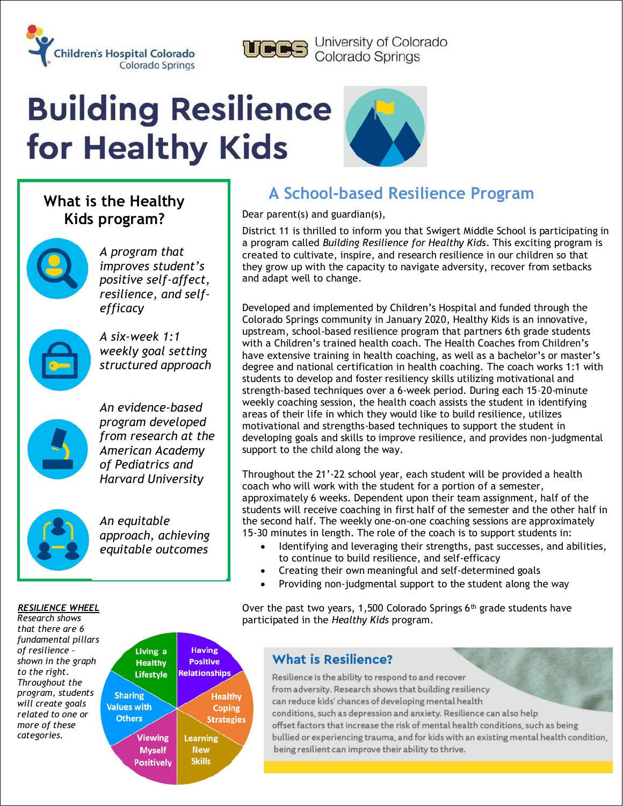



University of Colorado<br>Colorado Springs

# **Building Resilience** for Healthy Kids



# **What is the Healthy Kids program?**



*A program that improves student's positive self-affect, resilience, and selfefficacy*

*A six-week 1:1 weekly goal setting structured approach*



*An evidence-based program developed from research at the American Academy of Pediatrics and Harvard University* 



*An equitable approach, achieving equitable outcomes*

# **A School-based Resilience Program**

Dear parent(s) and guardian(s),

District 11 is thrilled to inform you that Swigert Middle School is participating in a program called *Building Resilience for Healthy Kids*. This exciting program is created to cultivate, inspire, and research resilience in our children so that they grow up with the capacity to navigate adversity, recover from setbacks and adapt well to change.

Developed and implemented by Children's Hospital and funded through the Colorado Springs community in January 2020, Healthy Kids is an innovative, upstream, school-based resilience program that partners 6th grade students with a Children's trained health coach. The Health Coaches from Children's have extensive training in health coaching, as well as a bachelor's or master's degree and national certification in health coaching. The coach works 1:1 with students to develop and foster resiliency skills utilizing motivational and strength-based techniques over a 6-week period. During each 15–20-minute weekly coaching session, the health coach assists the student in identifying areas of their life in which they would like to build resilience, utilizes motivational and strengths-based techniques to support the student in developing goals and skills to improve resilience, and provides non-judgmental support to the child along the way.

Throughout the 21'-22 school year, each student will be provided a health coach who will work with the student for a portion of a semester, approximately 6 weeks. Dependent upon their team assignment, half of the students will receive coaching in first half of the semester and the other half in the second half. The weekly one-on-one coaching sessions are approximately 15-30 minutes in length. The role of the coach is to support students in:

- Identifying and leveraging their strengths, past successes, and abilities, to continue to build resilience, and self-efficacy
- Creating their own meaningful and self-determined goals
- Providing non-judgmental support to the student along the way

Over the past two years, 1,500 Colorado Springs  $6<sup>th</sup>$  grade students have participated in the *Healthy Kids* program.

#### *RESILIENCE WHEEL*

*Research shows that there are 6 fundamental pillars of resilience – shown in the graph to the right. Throughout the program, students will create goals related to one or more of these categories.*



### **What is Resilience?**

Resilience is the ability to respond to and recover from adversity. Research shows that building resiliency can reduce kids' chances of developing mental health conditions, such as depression and anxiety. Resilience can also help offset factors that increase the risk of mental health conditions, such as being bullied or experiencing trauma, and for kids with an existing mental health condition, being resilient can improve their ability to thrive.